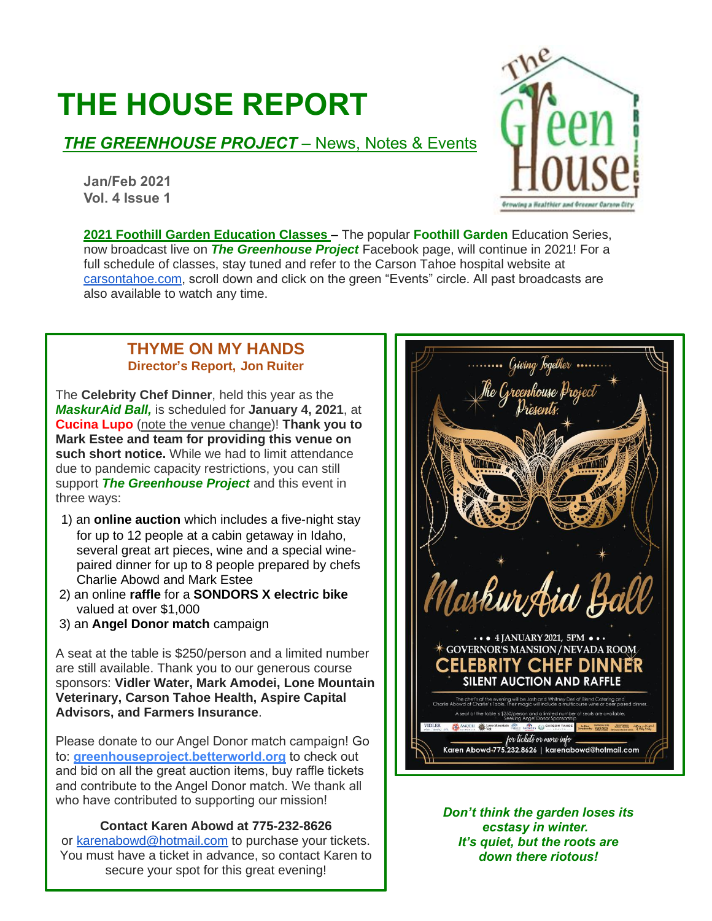# **THE HOUSE REPORT**

# **THE GREENHOUSE PROJECT** – News, Notes & Events

**Jan/Feb 2021 Vol. 4 Issue 1**



**2021 Foothill Garden Education Classes** – The popular **Foothill Garden** Education Series, now broadcast live on *The Greenhouse Project* Facebook page, will continue in 2021! For a full schedule of classes, stay tuned and refer to the Carson Tahoe hospital website at [carsontahoe.com,](http://carsontahoe.com/) scroll down and click on the green "Events" circle. All past broadcasts are also available to watch any time.

## **THYME ON MY HANDS Director's Report, Jon Ruiter**

The **Celebrity Chef Dinner**, held this year as the *MaskurAid Ball,* is scheduled for **January 4, 2021**, at **Cucina Lupo** (note the venue change)! **Thank you to Mark Estee and team for providing this venue on such short notice.** While we had to limit attendance due to pandemic capacity restrictions, you can still support *The Greenhouse Project* and this event in three ways:

- 1) an **online auction** which includes a five-night stay for up to 12 people at a cabin getaway in Idaho, several great art pieces, wine and a special winepaired dinner for up to 8 people prepared by chefs Charlie Abowd and Mark Estee
- 2) an online **raffle** for a **SONDORS X electric bike** valued at over \$1,000
- 3) an **Angel Donor match** campaign

A seat at the table is \$250/person and a limited number are still available. Thank you to our generous course sponsors: **Vidler Water, Mark Amodei, Lone Mountain Veterinary, Carson Tahoe Health, Aspire Capital Advisors, and Farmers Insurance**.

Please donate to our Angel Donor match campaign! Go to: **[greenhouseproject.betterworld.org](http://greenhouseproject.betterworld.org/)** to check out and bid on all the great auction items, buy raffle tickets and contribute to the Angel Donor match. We thank all who have contributed to supporting our mission!

## **Contact Karen Abowd at 775-232-8626**

or [karenabowd@hotmail.com](mailto:karenabowd@hotmail.com) to purchase your tickets. You must have a ticket in advance, so contact Karen to secure your spot for this great evening!



*Don't think the garden loses its ecstasy in winter. It's quiet, but the roots are down there riotous!*